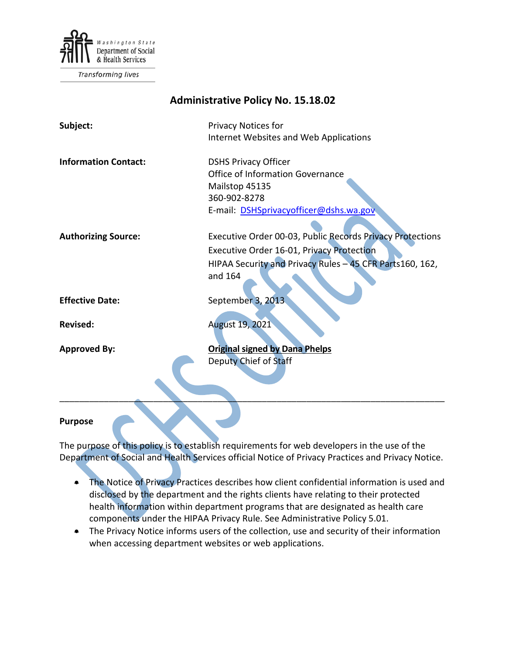

**Transforming lives** 

# **Administrative Policy No. 15.18.02**

| Subject:                    | <b>Privacy Notices for</b><br>Internet Websites and Web Applications |
|-----------------------------|----------------------------------------------------------------------|
| <b>Information Contact:</b> | <b>DSHS Privacy Officer</b>                                          |
|                             | Office of Information Governance                                     |
|                             | Mailstop 45135                                                       |
|                             | 360-902-8278                                                         |
|                             | E-mail: DSHSprivacyofficer@dshs.wa.gov                               |
|                             |                                                                      |
| <b>Authorizing Source:</b>  | Executive Order 00-03, Public Records Privacy Protections            |
|                             | Executive Order 16-01, Privacy Protection                            |
|                             | HIPAA Security and Privacy Rules - 45 CFR Parts160, 162,             |
|                             | and 164                                                              |
|                             |                                                                      |
| <b>Effective Date:</b>      | September 3, 2013                                                    |
|                             |                                                                      |
| <b>Revised:</b>             | <b>August 19, 2021</b>                                               |
|                             |                                                                      |
| <b>Approved By:</b>         | <b>Original signed by Dana Phelps</b>                                |
|                             | Deputy Chief of Staff                                                |
|                             |                                                                      |
|                             |                                                                      |

#### **Purpose**

The purpose of this policy is to establish requirements for web developers in the use of the Department of Social and Health Services official Notice of Privacy Practices and Privacy Notice.

\_\_\_\_\_\_\_\_\_\_\_\_\_\_\_\_\_\_\_\_\_\_\_\_\_\_\_\_\_\_\_\_\_\_\_\_\_\_\_\_\_\_\_\_\_\_\_\_\_\_\_\_\_\_\_\_\_\_\_\_\_\_\_\_\_\_\_\_\_\_\_\_\_\_\_\_\_\_

- The Notice of Privacy Practices describes how client confidential information is used and disclosed by the department and the rights clients have relating to their protected health information within department programs that are designated as health care components under the HIPAA Privacy Rule. See Administrative Policy 5.01.
- The Privacy Notice informs users of the collection, use and security of their information when accessing department websites or web applications.